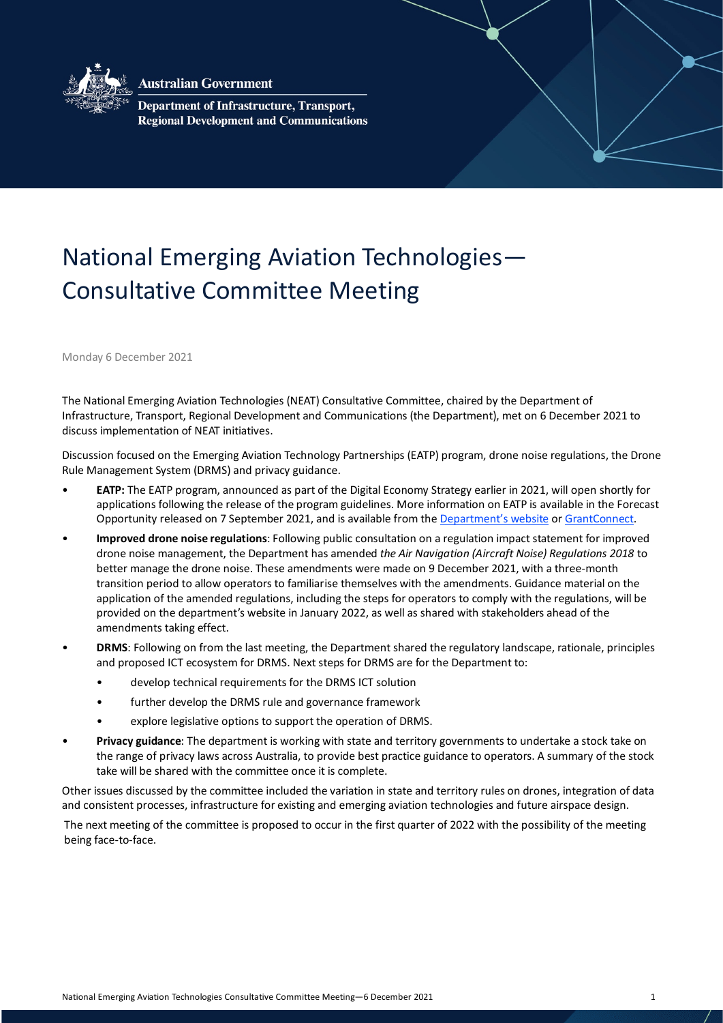

**Australian Government** 

Department of Infrastructure, Transport, **Regional Development and Communications** 

## National Emerging Aviation Technologies— Consultative Committee Meeting

Monday 6 December 2021

The National Emerging Aviation Technologies (NEAT) Consultative Committee, chaired by the Department of Infrastructure, Transport, Regional Development and Communications (the Department), met on 6 December 2021 to discuss implementation of NEAT initiatives.

Discussion focused on the Emerging Aviation Technology Partnerships (EATP) program, drone noise regulations, the Drone Rule Management System (DRMS) and privacy guidance.

- **EATP:** The EATP program, announced as part of the Digital Economy Strategy earlier in 2021, will open shortly for applications following the release of the program guidelines. More information on EATP is available in the Forecast Opportunity released on 7 September 2021, and is available from th[e Department's website](https://www.infrastructure.gov.au/infrastructure-transport-vehicles/aviation/emerging-aviation-technologies) o[r GrantConnect.](https://www.grants.gov.au/Fo/ListResult?Page=1&ItemsPerPage=0&SearchFrom=AdvancedSearch&Type=Fo&AgencyUuid=677edfd6-fb32-31c7-1339-7c51d18cda9a&AgencyStatus=2&Keyword=EATP&KeywordTypeSearch=AllWord&Edor=July%20to%20December%202021&OrderBy=Agency)
- **Improved drone noise regulations**: Following public consultation on a regulation impact statement for improved drone noise management, the Department has amended *the Air Navigation (Aircraft Noise) Regulations 2018* to better manage the drone noise. These amendments were made on 9 December 2021, with a three-month transition period to allow operators to familiarise themselves with the amendments. Guidance material on the application of the amended regulations, including the steps for operators to comply with the regulations, will be provided on the department's website in January 2022, as well as shared with stakeholders ahead of the amendments taking effect.
- **DRMS**: Following on from the last meeting, the Department shared the regulatory landscape, rationale, principles and proposed ICT ecosystem for DRMS. Next steps for DRMS are for the Department to:
	- develop technical requirements for the DRMS ICT solution
	- further develop the DRMS rule and governance framework
	- explore legislative options to support the operation of DRMS.
- **Privacy guidance**: The department is working with state and territory governments to undertake a stock take on the range of privacy laws across Australia, to provide best practice guidance to operators. A summary of the stock take will be shared with the committee once it is complete.

Other issues discussed by the committee included the variation in state and territory rules on drones, integration of data and consistent processes, infrastructure for existing and emerging aviation technologies and future airspace design.

The next meeting of the committee is proposed to occur in the first quarter of 2022 with the possibility of the meeting being face-to-face.